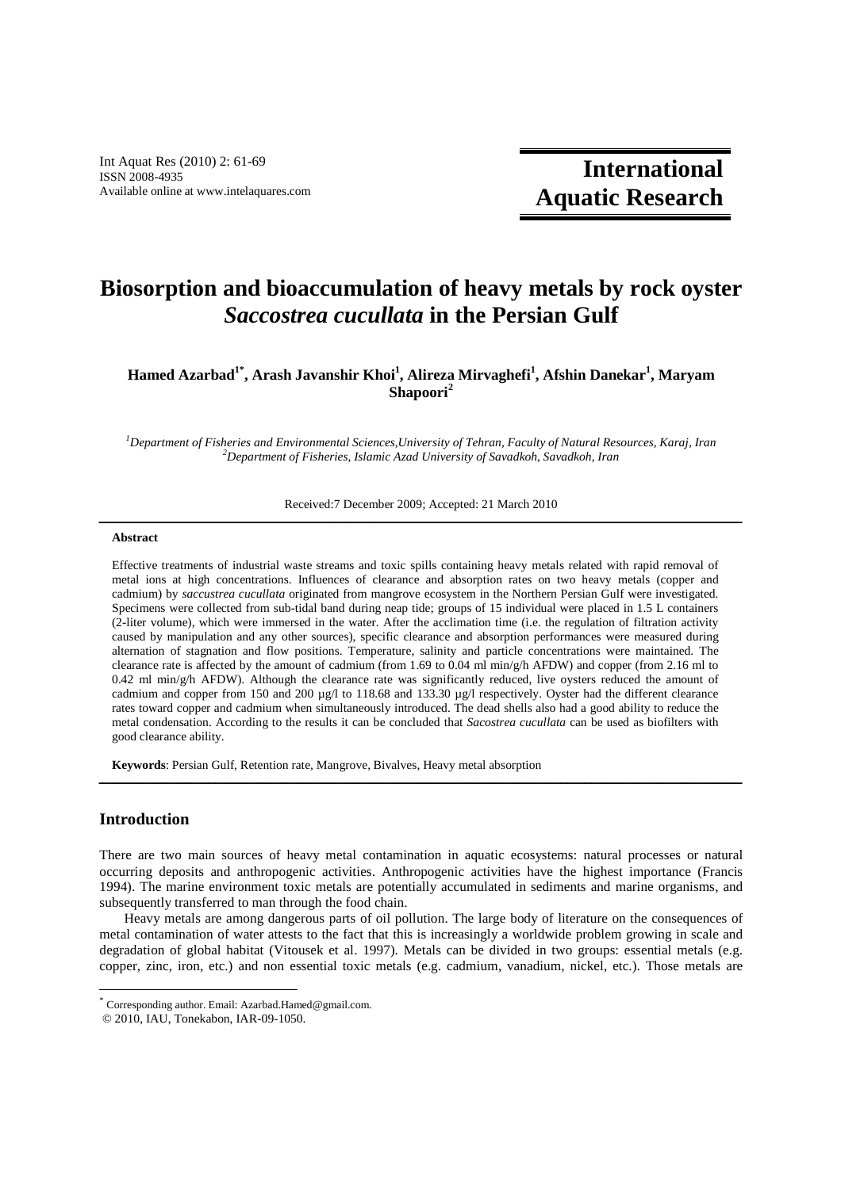Int Aquat Res (2010) 2: 61-69 ISSN 2008-4935 Available online at www.intelaquares.com

**International Aquatic Research**

# **Biosorption and bioaccumulation of heavy metals by rock oyster**  *Saccostrea cucullata* **in the Persian Gulf**

**Hamed Azarbad1\*, Arash Javanshir Khoi<sup>1</sup> , Alireza Mirvaghefi<sup>1</sup> , Afshin Danekar<sup>1</sup> , Maryam Shapoori<sup>2</sup>**

*<sup>1</sup>Department of Fisheries and Environmental Sciences,University of Tehran, Faculty of Natural Resources, Karaj, Iran <sup>2</sup>Department of Fisheries, Islamic Azad University of Savadkoh, Savadkoh, Iran* 

Received:7 December 2009; Accepted: 21 March 2010 ــــــــــــــــــــــــــــــــــــــــــــــــــــــــــــــــــــــــــــــــــــــــــــــــــــــــــــــــــــــــــــــــــــــــــــــــــــــــــــــــــــــــــــــــــــــــــــ

#### **Abstract**

Effective treatments of industrial waste streams and toxic spills containing heavy metals related with rapid removal of metal ions at high concentrations. Influences of clearance and absorption rates on two heavy metals (copper and cadmium) by *saccustrea cucullata* originated from mangrove ecosystem in the Northern Persian Gulf were investigated. Specimens were collected from sub-tidal band during neap tide; groups of 15 individual were placed in 1.5 L containers (2-liter volume), which were immersed in the water. After the acclimation time (i.e. the regulation of filtration activity caused by manipulation and any other sources), specific clearance and absorption performances were measured during alternation of stagnation and flow positions. Temperature, salinity and particle concentrations were maintained. The clearance rate is affected by the amount of cadmium (from 1.69 to 0.04 ml min/g/h AFDW) and copper (from 2.16 ml to  $0.42$  ml min/g/h AFDW). Although the clearance rate was significantly reduced, live oysters reduced the amount of cadmium and copper from 150 and 200 µg/l to 118.68 and 133.30 µg/l respectively. Oyster had the different clearance rates toward copper and cadmium when simultaneously introduced. The dead shells also had a good ability to reduce the metal condensation. According to the results it can be concluded that *Sacostrea cucullata* can be used as biofilters with good clearance ability.

**Keywords**: Persian Gulf, Retention rate, Mangrove, Bivalves, Heavy metal absorption

# **Introduction**

-

There are two main sources of heavy metal contamination in aquatic ecosystems: natural processes or natural occurring deposits and anthropogenic activities. Anthropogenic activities have the highest importance (Francis 1994). The marine environment toxic metals are potentially accumulated in sediments and marine organisms, and subsequently transferred to man through the food chain.

ــــــــــــــــــــــــــــــــــــــــــــــــــــــــــــــــــــــــــــــــــــــــــــــــــــــــــــــــــــــــــــــــــــــــــــــــــــــــــــــــــــــــــــــــــــــــــــ

Heavy metals are among dangerous parts of oil pollution. The large body of literature on the consequences of metal contamination of water attests to the fact that this is increasingly a worldwide problem growing in scale and degradation of global habitat (Vitousek et al. 1997). Metals can be divided in two groups: essential metals (e.g. copper, zinc, iron, etc.) and non essential toxic metals (e.g. cadmium, vanadium, nickel, etc.). Those metals are

<sup>\*</sup> Corresponding author. Email: Azarbad.Hamed@gmail.com.

 <sup>© 2010,</sup> IAU, Tonekabon, IAR-09-1050.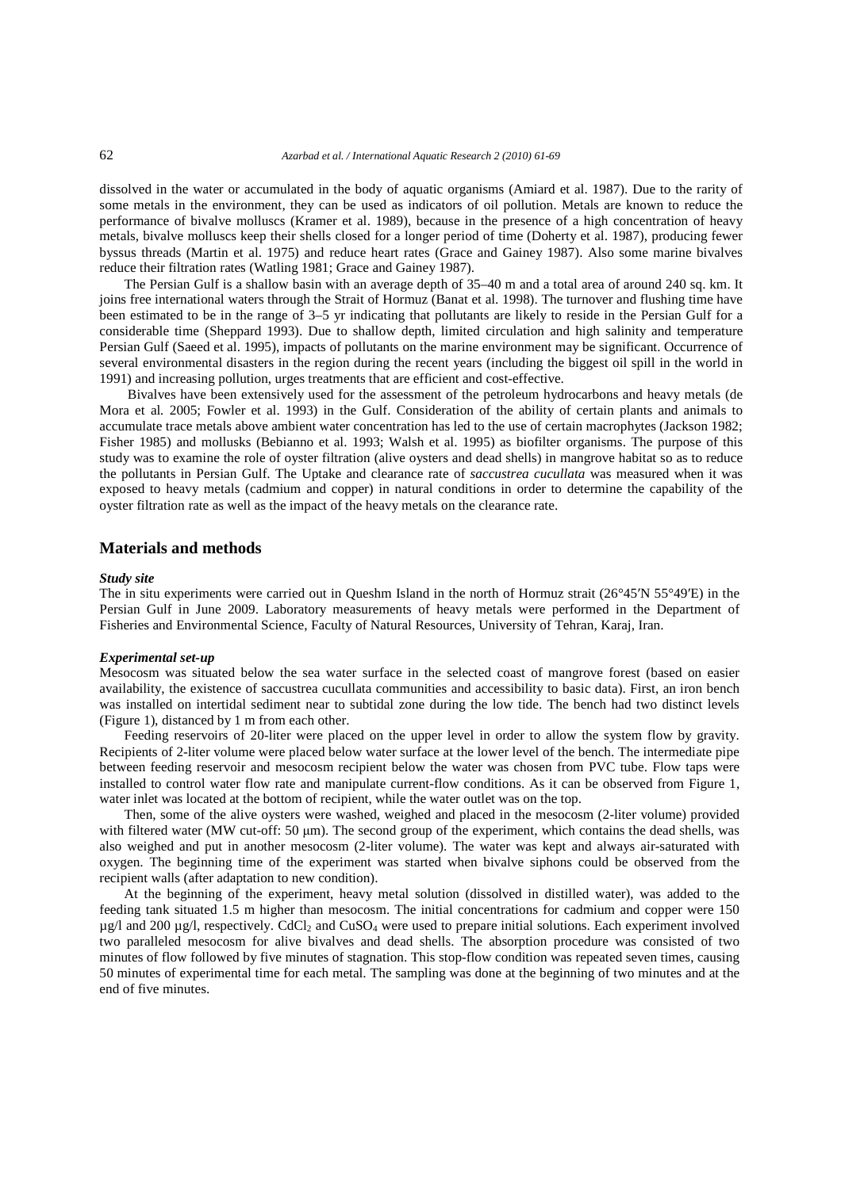dissolved in the water or accumulated in the body of aquatic organisms (Amiard et al. 1987). Due to the rarity of some metals in the environment, they can be used as indicators of oil pollution. Metals are known to reduce the performance of bivalve molluscs (Kramer et al. 1989), because in the presence of a high concentration of heavy metals, bivalve molluscs keep their shells closed for a longer period of time (Doherty et al. 1987), producing fewer byssus threads (Martin et al. 1975) and reduce heart rates (Grace and Gainey 1987). Also some marine bivalves reduce their filtration rates (Watling 1981; Grace and Gainey 1987).

The Persian Gulf is a shallow basin with an average depth of 35–40 m and a total area of around 240 sq. km. It joins free international waters through the Strait of Hormuz (Banat et al. 1998). The turnover and flushing time have been estimated to be in the range of 3–5 yr indicating that pollutants are likely to reside in the Persian Gulf for a considerable time (Sheppard 1993). Due to shallow depth, limited circulation and high salinity and temperature Persian Gulf (Saeed et al. 1995), impacts of pollutants on the marine environment may be significant. Occurrence of several environmental disasters in the region during the recent years (including the biggest oil spill in the world in 1991) and increasing pollution, urges treatments that are efficient and cost-effective.

 Bivalves have been extensively used for the assessment of the petroleum hydrocarbons and heavy metals (de Mora et al*.* 2005; Fowler et al. 1993) in the Gulf. Consideration of the ability of certain plants and animals to accumulate trace metals above ambient water concentration has led to the use of certain macrophytes (Jackson 1982; Fisher 1985) and mollusks (Bebianno et al. 1993; Walsh et al. 1995) as biofilter organisms. The purpose of this study was to examine the role of oyster filtration (alive oysters and dead shells) in mangrove habitat so as to reduce the pollutants in Persian Gulf. The Uptake and clearance rate of *saccustrea cucullata* was measured when it was exposed to heavy metals (cadmium and copper) in natural conditions in order to determine the capability of the oyster filtration rate as well as the impact of the heavy metals on the clearance rate.

# **Materials and methods**

## *Study site*

The in situ experiments were carried out in Queshm Island in the north of Hormuz strait (26°45′N 55°49′E) in the Persian Gulf in June 2009. Laboratory measurements of heavy metals were performed in the Department of Fisheries and Environmental Science, Faculty of Natural Resources, University of Tehran, Karaj, Iran.

#### *Experimental set-up*

Mesocosm was situated below the sea water surface in the selected coast of mangrove forest (based on easier availability, the existence of saccustrea cucullata communities and accessibility to basic data). First, an iron bench was installed on intertidal sediment near to subtidal zone during the low tide. The bench had two distinct levels (Figure 1), distanced by 1 m from each other.

Feeding reservoirs of 20-liter were placed on the upper level in order to allow the system flow by gravity. Recipients of 2-liter volume were placed below water surface at the lower level of the bench. The intermediate pipe between feeding reservoir and mesocosm recipient below the water was chosen from PVC tube. Flow taps were installed to control water flow rate and manipulate current-flow conditions. As it can be observed from Figure 1, water inlet was located at the bottom of recipient, while the water outlet was on the top.

Then, some of the alive oysters were washed, weighed and placed in the mesocosm (2-liter volume) provided with filtered water (MW cut-off: 50  $\mu$ m). The second group of the experiment, which contains the dead shells, was also weighed and put in another mesocosm (2-liter volume). The water was kept and always air-saturated with oxygen. The beginning time of the experiment was started when bivalve siphons could be observed from the recipient walls (after adaptation to new condition).

At the beginning of the experiment, heavy metal solution (dissolved in distilled water), was added to the feeding tank situated 1.5 m higher than mesocosm. The initial concentrations for cadmium and copper were 150  $\mu$ g/l and 200  $\mu$ g/l, respectively. CdCl<sub>2</sub> and CuSO<sub>4</sub> were used to prepare initial solutions. Each experiment involved two paralleled mesocosm for alive bivalves and dead shells. The absorption procedure was consisted of two minutes of flow followed by five minutes of stagnation. This stop-flow condition was repeated seven times, causing 50 minutes of experimental time for each metal. The sampling was done at the beginning of two minutes and at the end of five minutes.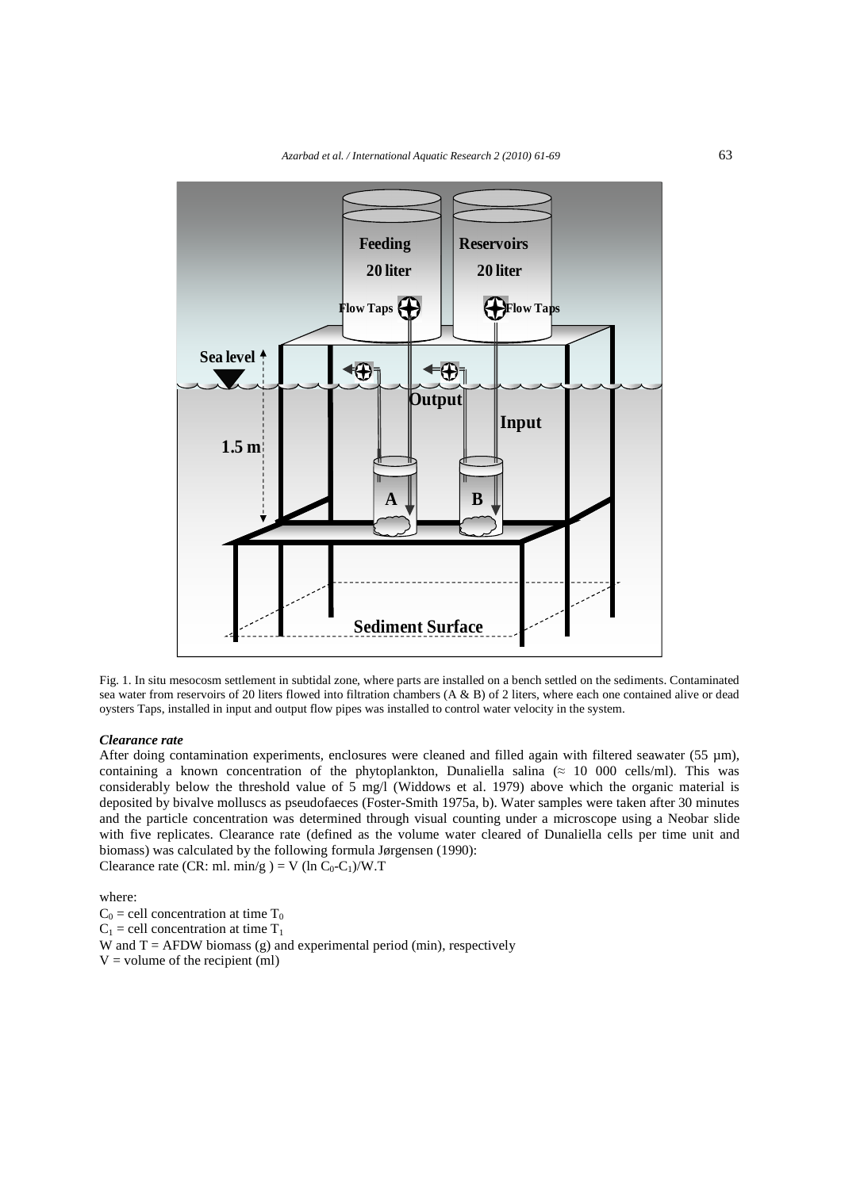

Fig. 1. In situ mesocosm settlement in subtidal zone, where parts are installed on a bench settled on the sediments. Contaminated sea water from reservoirs of 20 liters flowed into filtration chambers (A & B) of 2 liters, where each one contained alive or dead oysters Taps, installed in input and output flow pipes was installed to control water velocity in the system.

## *Clearance rate*

After doing contamination experiments, enclosures were cleaned and filled again with filtered seawater (55  $\mu$ m), containing a known concentration of the phytoplankton, Dunaliella salina ( $\approx$  10 000 cells/ml). This was considerably below the threshold value of 5 mg/l (Widdows et al. 1979) above which the organic material is deposited by bivalve molluscs as pseudofaeces (Foster-Smith 1975a, b). Water samples were taken after 30 minutes and the particle concentration was determined through visual counting under a microscope using a Neobar slide with five replicates. Clearance rate (defined as the volume water cleared of Dunaliella cells per time unit and biomass) was calculated by the following formula Jørgensen (1990): Clearance rate (CR: ml. min/g ) = V (ln  $C_0$ -C<sub>1</sub>)/W.T

where:

 $C_0$  = cell concentration at time  $T_0$  $C_1$  = cell concentration at time  $T_1$ W and  $T = AFDW$  biomass (g) and experimental period (min), respectively  $V =$  volume of the recipient (ml)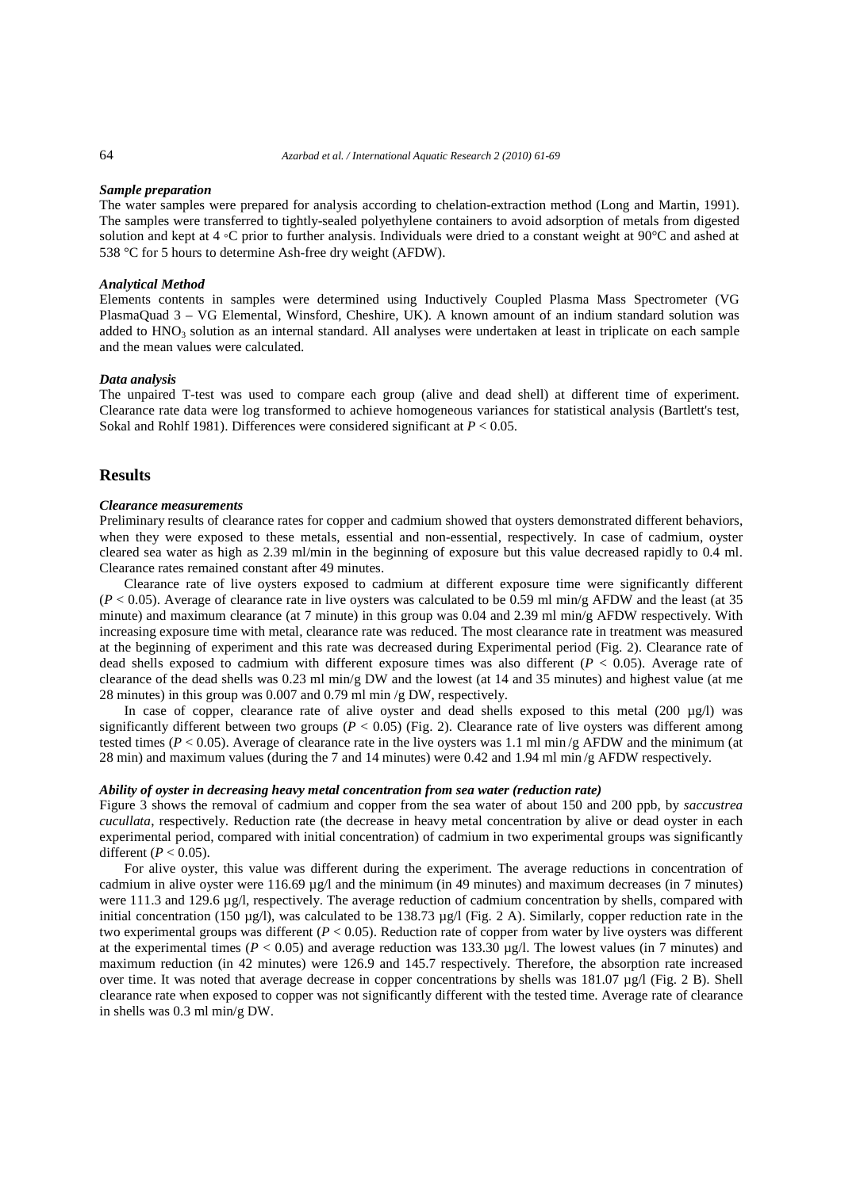#### *Sample preparation*

The water samples were prepared for analysis according to chelation-extraction method (Long and Martin, 1991). The samples were transferred to tightly-sealed polyethylene containers to avoid adsorption of metals from digested solution and kept at 4 ◦C prior to further analysis. Individuals were dried to a constant weight at 90°C and ashed at 538 °C for 5 hours to determine Ash-free dry weight (AFDW).

## *Analytical Method*

Elements contents in samples were determined using Inductively Coupled Plasma Mass Spectrometer (VG PlasmaQuad 3 – VG Elemental, Winsford, Cheshire, UK). A known amount of an indium standard solution was added to HNO<sub>3</sub> solution as an internal standard. All analyses were undertaken at least in triplicate on each sample and the mean values were calculated.

#### *Data analysis*

The unpaired T-test was used to compare each group (alive and dead shell) at different time of experiment. Clearance rate data were log transformed to achieve homogeneous variances for statistical analysis (Bartlett's test, Sokal and Rohlf 1981). Differences were considered significant at *P* < 0.05.

# **Results**

#### *Clearance measurements*

Preliminary results of clearance rates for copper and cadmium showed that oysters demonstrated different behaviors, when they were exposed to these metals, essential and non-essential, respectively. In case of cadmium, oyster cleared sea water as high as 2.39 ml/min in the beginning of exposure but this value decreased rapidly to 0.4 ml. Clearance rates remained constant after 49 minutes.

Clearance rate of live oysters exposed to cadmium at different exposure time were significantly different  $(P < 0.05)$ . Average of clearance rate in live oysters was calculated to be 0.59 ml min/g AFDW and the least (at 35) minute) and maximum clearance (at 7 minute) in this group was 0.04 and 2.39 ml min/g AFDW respectively. With increasing exposure time with metal, clearance rate was reduced. The most clearance rate in treatment was measured at the beginning of experiment and this rate was decreased during Experimental period (Fig. 2). Clearance rate of dead shells exposed to cadmium with different exposure times was also different ( $P < 0.05$ ). Average rate of clearance of the dead shells was 0.23 ml min/g DW and the lowest (at 14 and 35 minutes) and highest value (at me 28 minutes) in this group was 0.007 and 0.79 ml min /g DW, respectively.

In case of copper, clearance rate of alive oyster and dead shells exposed to this metal (200 µg/l) was significantly different between two groups ( $P < 0.05$ ) (Fig. 2). Clearance rate of live oysters was different among tested times ( $P < 0.05$ ). Average of clearance rate in the live oysters was 1.1 ml min/g AFDW and the minimum (at 28 min) and maximum values (during the 7 and 14 minutes) were 0.42 and 1.94 ml min /g AFDW respectively.

#### *Ability of oyster in decreasing heavy metal concentration from sea water (reduction rate)*

Figure 3 shows the removal of cadmium and copper from the sea water of about 150 and 200 ppb, by *saccustrea cucullata*, respectively. Reduction rate (the decrease in heavy metal concentration by alive or dead oyster in each experimental period, compared with initial concentration) of cadmium in two experimental groups was significantly different  $(P < 0.05)$ .

For alive oyster, this value was different during the experiment. The average reductions in concentration of cadmium in alive oyster were 116.69 µg/l and the minimum (in 49 minutes) and maximum decreases (in 7 minutes) were 111.3 and 129.6 µg/l, respectively. The average reduction of cadmium concentration by shells, compared with initial concentration (150 µg/l), was calculated to be 138.73 µg/l (Fig. 2 A). Similarly, copper reduction rate in the two experimental groups was different (*P* < 0.05). Reduction rate of copper from water by live oysters was different at the experimental times ( $P < 0.05$ ) and average reduction was 133.30  $\mu$ g/l. The lowest values (in 7 minutes) and maximum reduction (in 42 minutes) were 126.9 and 145.7 respectively. Therefore, the absorption rate increased over time. It was noted that average decrease in copper concentrations by shells was 181.07 µg/l (Fig. 2 B). Shell clearance rate when exposed to copper was not significantly different with the tested time. Average rate of clearance in shells was 0.3 ml min/g DW.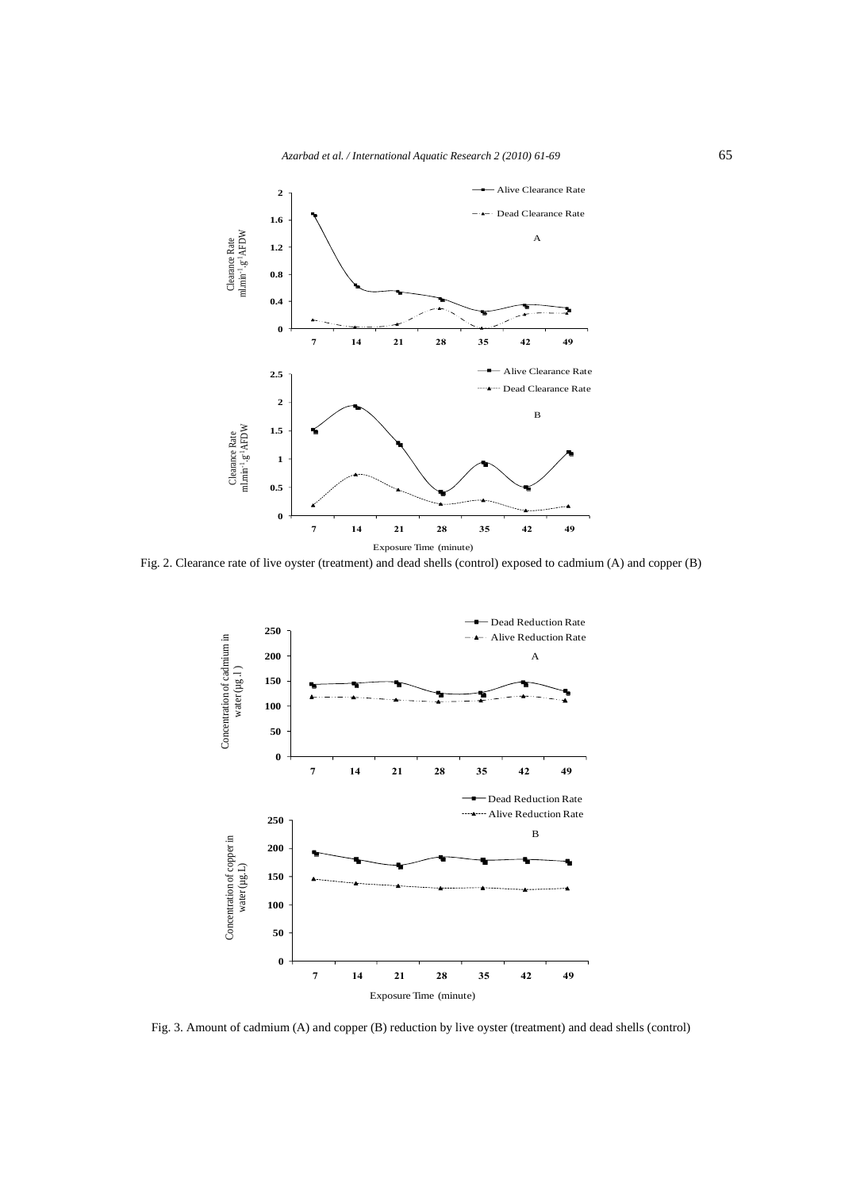



Fig. 2. Clearance rate of live oyster (treatment) and dead shells (control) exposed to cadmium (A) and copper (B)



Fig. 3. Amount of cadmium (A) and copper (B) reduction by live oyster (treatment) and dead shells (control)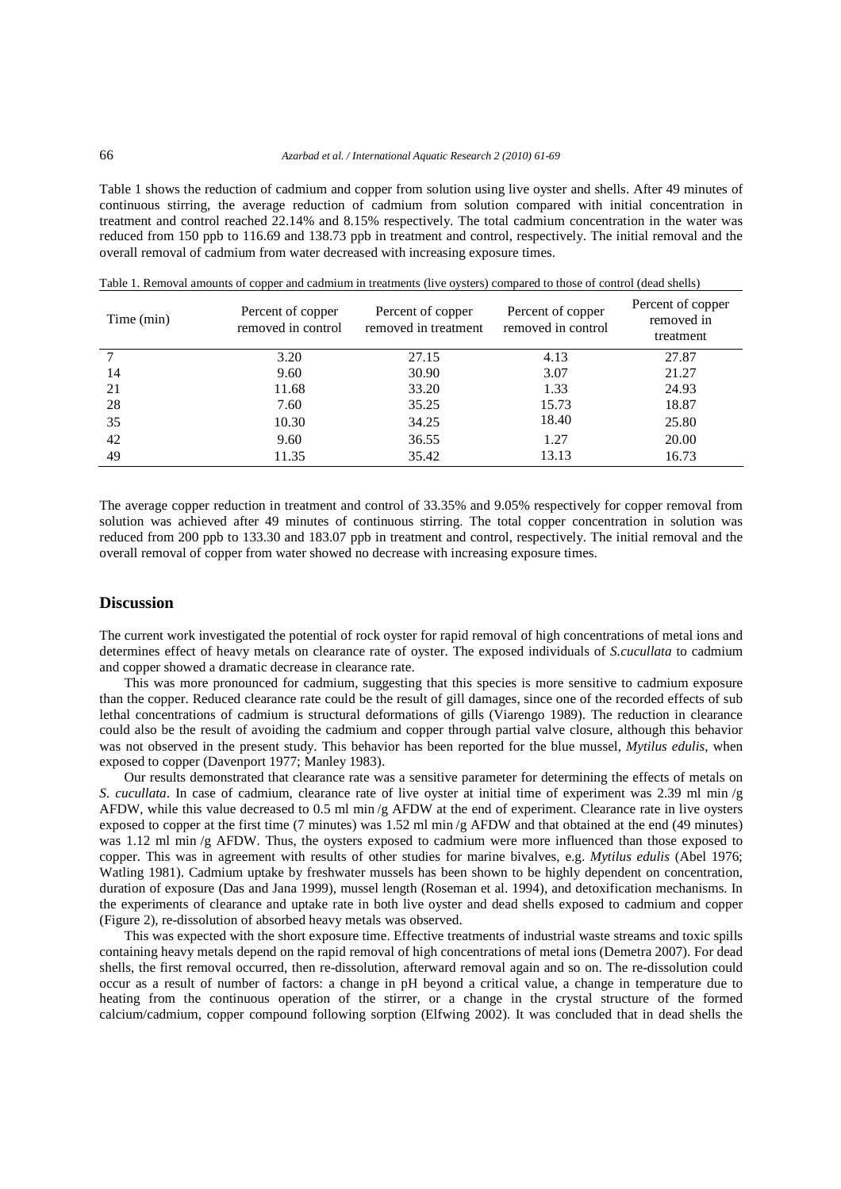Table 1 shows the reduction of cadmium and copper from solution using live oyster and shells. After 49 minutes of continuous stirring, the average reduction of cadmium from solution compared with initial concentration in treatment and control reached 22.14% and 8.15% respectively. The total cadmium concentration in the water was reduced from 150 ppb to 116.69 and 138.73 ppb in treatment and control, respectively. The initial removal and the overall removal of cadmium from water decreased with increasing exposure times.

| Time (min) | Percent of copper<br>removed in control | Percent of copper<br>removed in treatment | Percent of copper<br>removed in control | Percent of copper<br>removed in<br>treatment |
|------------|-----------------------------------------|-------------------------------------------|-----------------------------------------|----------------------------------------------|
|            | 3.20                                    | 27.15                                     | 4.13                                    | 27.87                                        |
| 14         | 9.60                                    | 30.90                                     | 3.07                                    | 21.27                                        |
| 21         | 11.68                                   | 33.20                                     | 1.33                                    | 24.93                                        |
| 28         | 7.60                                    | 35.25                                     | 15.73                                   | 18.87                                        |
| 35         | 10.30                                   | 34.25                                     | 18.40                                   | 25.80                                        |
| 42         | 9.60                                    | 36.55                                     | 1.27                                    | 20.00                                        |
| 49         | 11.35                                   | 35.42                                     | 13.13                                   | 16.73                                        |

Table 1. Removal amounts of copper and cadmium in treatments (live oysters) compared to those of control (dead shells)

The average copper reduction in treatment and control of 33.35% and 9.05% respectively for copper removal from solution was achieved after 49 minutes of continuous stirring. The total copper concentration in solution was reduced from 200 ppb to 133.30 and 183.07 ppb in treatment and control, respectively. The initial removal and the overall removal of copper from water showed no decrease with increasing exposure times.

# **Discussion**

The current work investigated the potential of rock oyster for rapid removal of high concentrations of metal ions and determines effect of heavy metals on clearance rate of oyster. The exposed individuals of *S.cucullata* to cadmium and copper showed a dramatic decrease in clearance rate.

This was more pronounced for cadmium, suggesting that this species is more sensitive to cadmium exposure than the copper. Reduced clearance rate could be the result of gill damages, since one of the recorded effects of sub lethal concentrations of cadmium is structural deformations of gills (Viarengo 1989). The reduction in clearance could also be the result of avoiding the cadmium and copper through partial valve closure, although this behavior was not observed in the present study. This behavior has been reported for the blue mussel, *Mytilus edulis*, when exposed to copper (Davenport 1977; Manley 1983).

Our results demonstrated that clearance rate was a sensitive parameter for determining the effects of metals on *S. cucullata*. In case of cadmium, clearance rate of live oyster at initial time of experiment was 2.39 ml min /g AFDW, while this value decreased to 0.5 ml min /g AFDW at the end of experiment. Clearance rate in live oysters exposed to copper at the first time (7 minutes) was 1.52 ml min /g AFDW and that obtained at the end (49 minutes) was 1.12 ml min /g AFDW. Thus, the oysters exposed to cadmium were more influenced than those exposed to copper. This was in agreement with results of other studies for marine bivalves, e.g. *Mytilus edulis* (Abel 1976; Watling 1981). Cadmium uptake by freshwater mussels has been shown to be highly dependent on concentration, duration of exposure (Das and Jana 1999), mussel length (Roseman et al. 1994), and detoxification mechanisms. In the experiments of clearance and uptake rate in both live oyster and dead shells exposed to cadmium and copper (Figure 2), re-dissolution of absorbed heavy metals was observed.

This was expected with the short exposure time. Effective treatments of industrial waste streams and toxic spills containing heavy metals depend on the rapid removal of high concentrations of metal ions (Demetra 2007). For dead shells, the first removal occurred, then re-dissolution, afterward removal again and so on. The re-dissolution could occur as a result of number of factors: a change in pH beyond a critical value, a change in temperature due to heating from the continuous operation of the stirrer, or a change in the crystal structure of the formed calcium/cadmium, copper compound following sorption (Elfwing 2002). It was concluded that in dead shells the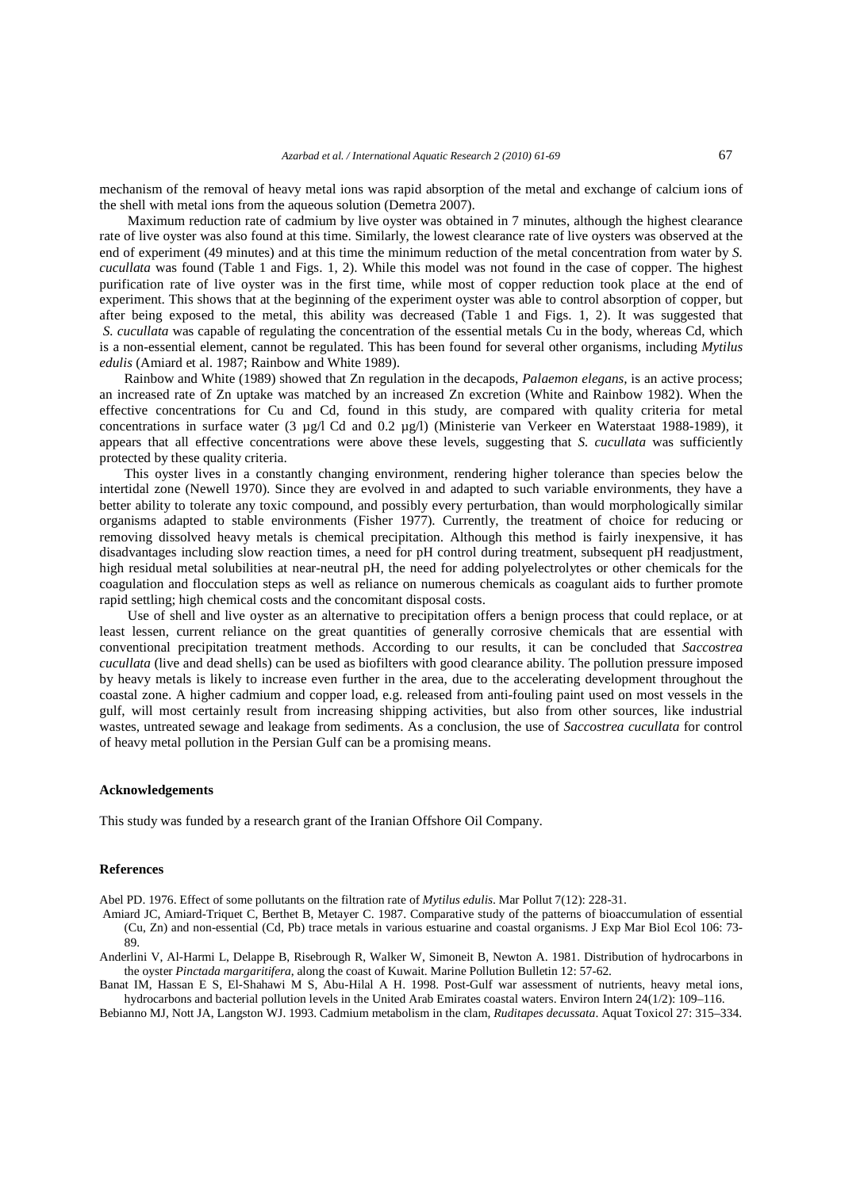mechanism of the removal of heavy metal ions was rapid absorption of the metal and exchange of calcium ions of the shell with metal ions from the aqueous solution (Demetra 2007).

 Maximum reduction rate of cadmium by live oyster was obtained in 7 minutes, although the highest clearance rate of live oyster was also found at this time. Similarly, the lowest clearance rate of live oysters was observed at the end of experiment (49 minutes) and at this time the minimum reduction of the metal concentration from water by *S. cucullata* was found (Table 1 and Figs. 1, 2). While this model was not found in the case of copper. The highest purification rate of live oyster was in the first time, while most of copper reduction took place at the end of experiment. This shows that at the beginning of the experiment oyster was able to control absorption of copper, but after being exposed to the metal, this ability was decreased (Table 1 and Figs. 1, 2). It was suggested that *S. cucullata* was capable of regulating the concentration of the essential metals Cu in the body, whereas Cd, which is a non-essential element, cannot be regulated. This has been found for several other organisms, including *Mytilus edulis* (Amiard et al. 1987; Rainbow and White 1989).

Rainbow and White (1989) showed that Zn regulation in the decapods, *Palaemon elegans,* is an active process; an increased rate of Zn uptake was matched by an increased Zn excretion (White and Rainbow 1982). When the effective concentrations for Cu and Cd, found in this study, are compared with quality criteria for metal concentrations in surface water (3 µg/l Cd and 0.2 µg/l) (Ministerie van Verkeer en Waterstaat 1988-1989), it appears that all effective concentrations were above these levels, suggesting that *S. cucullata* was sufficiently protected by these quality criteria.

This oyster lives in a constantly changing environment, rendering higher tolerance than species below the intertidal zone (Newell 1970). Since they are evolved in and adapted to such variable environments, they have a better ability to tolerate any toxic compound, and possibly every perturbation, than would morphologically similar organisms adapted to stable environments (Fisher 1977). Currently, the treatment of choice for reducing or removing dissolved heavy metals is chemical precipitation. Although this method is fairly inexpensive, it has disadvantages including slow reaction times, a need for pH control during treatment, subsequent pH readjustment, high residual metal solubilities at near-neutral pH, the need for adding polyelectrolytes or other chemicals for the coagulation and flocculation steps as well as reliance on numerous chemicals as coagulant aids to further promote rapid settling; high chemical costs and the concomitant disposal costs.

 Use of shell and live oyster as an alternative to precipitation offers a benign process that could replace, or at least lessen, current reliance on the great quantities of generally corrosive chemicals that are essential with conventional precipitation treatment methods. According to our results, it can be concluded that *Saccostrea cucullata* (live and dead shells) can be used as biofilters with good clearance ability. The pollution pressure imposed by heavy metals is likely to increase even further in the area, due to the accelerating development throughout the coastal zone. A higher cadmium and copper load, e.g. released from anti-fouling paint used on most vessels in the gulf, will most certainly result from increasing shipping activities, but also from other sources, like industrial wastes, untreated sewage and leakage from sediments. As a conclusion, the use of *Saccostrea cucullata* for control of heavy metal pollution in the Persian Gulf can be a promising means.

## **Acknowledgements**

This study was funded by a research grant of the Iranian Offshore Oil Company.

### **References**

Abel PD. 1976. Effect of some pollutants on the filtration rate of *Mytilus edulis*. Mar Pollut 7(12): 228-31.

- Amiard JC, Amiard-Triquet C, Berthet B, Metayer C. 1987. Comparative study of the patterns of bioaccumulation of essential (Cu, Zn) and non-essential (Cd, Pb) trace metals in various estuarine and coastal organisms. J Exp Mar Biol Ecol 106: 73- 89.
- Anderlini V, Al-Harmi L, Delappe B, Risebrough R, Walker W, Simoneit B, Newton A. 1981. Distribution of hydrocarbons in the oyster *Pinctada margaritifera*, along the coast of Kuwait. Marine Pollution Bulletin 12: 57-62.

Banat IM, Hassan E S, El-Shahawi M S, Abu-Hilal A H. 1998. Post-Gulf war assessment of nutrients, heavy metal ions, hydrocarbons and bacterial pollution levels in the United Arab Emirates coastal waters. Environ Intern 24(1/2): 109–116.

Bebianno MJ, Nott JA, Langston WJ. 1993. Cadmium metabolism in the clam, *Ruditapes decussata*. Aquat Toxicol 27: 315–334.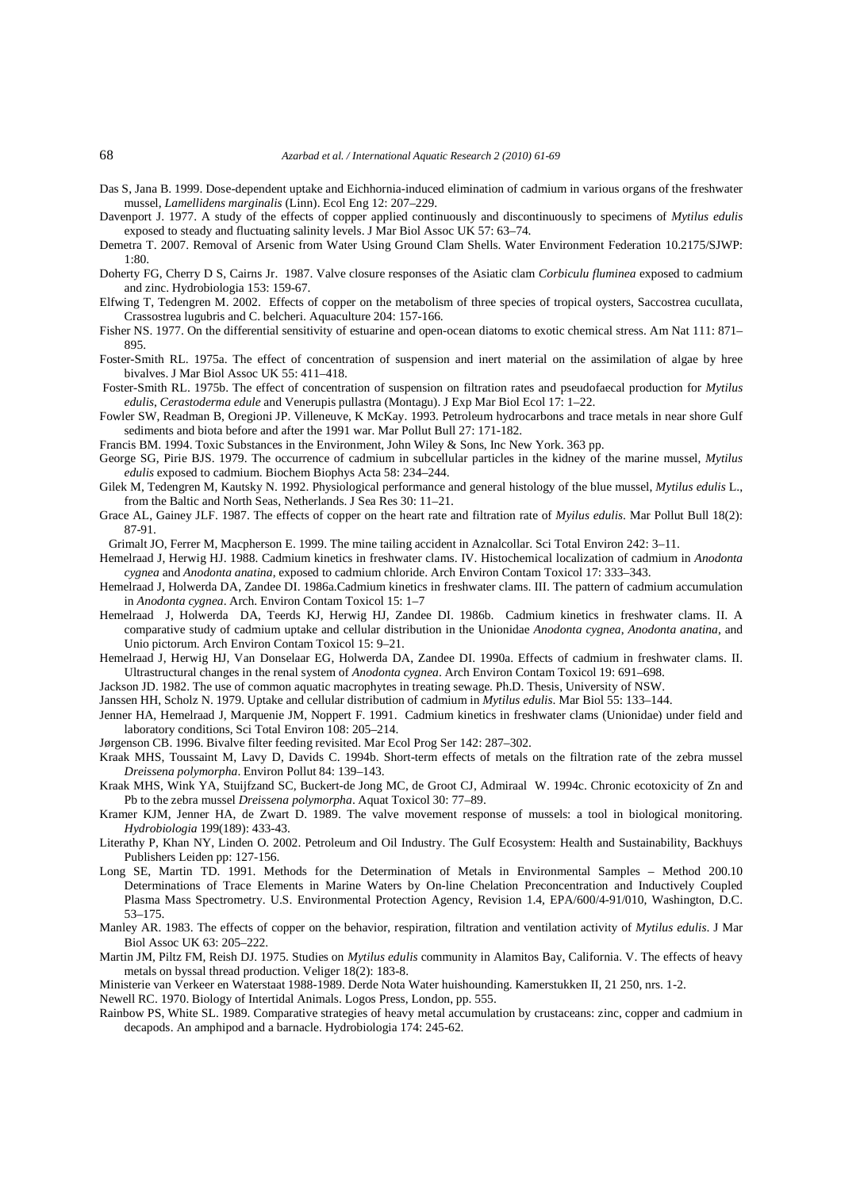- Das S, Jana B. 1999. Dose-dependent uptake and Eichhornia-induced elimination of cadmium in various organs of the freshwater mussel, *Lamellidens marginalis* (Linn). Ecol Eng 12: 207–229.
- Davenport J. 1977. A study of the effects of copper applied continuously and discontinuously to specimens of *Mytilus edulis* exposed to steady and fluctuating salinity levels. J Mar Biol Assoc UK 57: 63–74.
- Demetra T. 2007. Removal of Arsenic from Water Using Ground Clam Shells. Water Environment Federation 10.2175/SJWP: 1:80.
- Doherty FG, Cherry D S, Cairns Jr. 1987. Valve closure responses of the Asiatic clam *Corbiculu fluminea* exposed to cadmium and zinc. Hydrobiologia 153: 159-67.
- Elfwing T, Tedengren M. 2002. Effects of copper on the metabolism of three species of tropical oysters, Saccostrea cucullata, Crassostrea lugubris and C. belcheri. Aquaculture 204: 157-166.
- Fisher NS. 1977. On the differential sensitivity of estuarine and open-ocean diatoms to exotic chemical stress. Am Nat 111: 871– 895.
- Foster-Smith RL. 1975a. The effect of concentration of suspension and inert material on the assimilation of algae by hree bivalves. J Mar Biol Assoc UK 55: 411–418.
- Foster-Smith RL. 1975b. The effect of concentration of suspension on filtration rates and pseudofaecal production for *Mytilus edulis*, *Cerastoderma edule* and Venerupis pullastra (Montagu). J Exp Mar Biol Ecol 17: 1–22.
- Fowler SW, Readman B, Oregioni JP. Villeneuve, K McKay. 1993. Petroleum hydrocarbons and trace metals in near shore Gulf sediments and biota before and after the 1991 war. Mar Pollut Bull 27: 171-182.
- Francis BM. 1994. Toxic Substances in the Environment, John Wiley & Sons, Inc New York. 363 pp.
- George SG, Pirie BJS. 1979. The occurrence of cadmium in subcellular particles in the kidney of the marine mussel, *Mytilus edulis* exposed to cadmium. Biochem Biophys Acta 58: 234–244.
- Gilek M, Tedengren M, Kautsky N. 1992. Physiological performance and general histology of the blue mussel, *Mytilus edulis* L., from the Baltic and North Seas, Netherlands. J Sea Res 30: 11–21.
- Grace AL, Gainey JLF. 1987. The effects of copper on the heart rate and filtration rate of *Myilus edulis*. Mar Pollut Bull 18(2): 87-91.
- Grimalt JO, Ferrer M, Macpherson E. 1999. The mine tailing accident in Aznalcollar. Sci Total Environ 242: 3–11.
- Hemelraad J, Herwig HJ. 1988. Cadmium kinetics in freshwater clams. IV. Histochemical localization of cadmium in *Anodonta cygnea* and *Anodonta anatina*, exposed to cadmium chloride. Arch Environ Contam Toxicol 17: 333–343.
- Hemelraad J, Holwerda DA, Zandee DI. 1986a.Cadmium kinetics in freshwater clams. III. The pattern of cadmium accumulation in *Anodonta cygnea*. Arch. Environ Contam Toxicol 15: 1–7
- Hemelraad J, Holwerda DA, Teerds KJ, Herwig HJ, Zandee DI. 1986b. Cadmium kinetics in freshwater clams. II. A comparative study of cadmium uptake and cellular distribution in the Unionidae *Anodonta cygnea*, *Anodonta anatina*, and Unio pictorum. Arch Environ Contam Toxicol 15: 9–21.
- Hemelraad J, Herwig HJ, Van Donselaar EG, Holwerda DA, Zandee DI. 1990a. Effects of cadmium in freshwater clams. II. Ultrastructural changes in the renal system of *Anodonta cygnea*. Arch Environ Contam Toxicol 19: 691–698.
- Jackson JD. 1982. The use of common aquatic macrophytes in treating sewage. Ph.D. Thesis, University of NSW.
- Janssen HH, Scholz N. 1979. Uptake and cellular distribution of cadmium in *Mytilus edulis*. Mar Biol 55: 133–144.
- Jenner HA, Hemelraad J, Marquenie JM, Noppert F. 1991. Cadmium kinetics in freshwater clams (Unionidae) under field and laboratory conditions, Sci Total Environ 108: 205–214.
- Jørgenson CB. 1996. Bivalve filter feeding revisited. Mar Ecol Prog Ser 142: 287–302.
- Kraak MHS, Toussaint M, Lavy D, Davids C. 1994b. Short-term effects of metals on the filtration rate of the zebra mussel *Dreissena polymorpha*. Environ Pollut 84: 139–143.
- Kraak MHS, Wink YA, Stuijfzand SC, Buckert-de Jong MC, de Groot CJ, Admiraal W. 1994c. Chronic ecotoxicity of Zn and Pb to the zebra mussel *Dreissena polymorpha*. Aquat Toxicol 30: 77–89.
- Kramer KJM, Jenner HA, de Zwart D. 1989. The valve movement response of mussels: a tool in biological monitoring. *Hydrobiologia* 199(189): 433-43.
- Literathy P, Khan NY, Linden O. 2002. Petroleum and Oil Industry. The Gulf Ecosystem: Health and Sustainability, Backhuys Publishers Leiden pp: 127-156.
- Long SE, Martin TD. 1991. Methods for the Determination of Metals in Environmental Samples Method 200.10 Determinations of Trace Elements in Marine Waters by On-line Chelation Preconcentration and Inductively Coupled Plasma Mass Spectrometry. U.S. Environmental Protection Agency, Revision 1.4, EPA/600/4-91/010, Washington, D.C. 53–175.
- Manley AR. 1983. The effects of copper on the behavior, respiration, filtration and ventilation activity of *Mytilus edulis*. J Mar Biol Assoc UK 63: 205–222.
- Martin JM, Piltz FM, Reish DJ. 1975. Studies on *Mytilus edulis* community in Alamitos Bay, California. V. The effects of heavy metals on byssal thread production. Veliger 18(2): 183-8.

Ministerie van Verkeer en Waterstaat 1988-1989. Derde Nota Water huishounding. Kamerstukken II, 21 250, nrs. 1-2.

Newell RC. 1970. Biology of Intertidal Animals. Logos Press, London, pp. 555.

Rainbow PS, White SL. 1989. Comparative strategies of heavy metal accumulation by crustaceans: zinc, copper and cadmium in decapods. An amphipod and a barnacle. Hydrobiologia 174: 245-62.